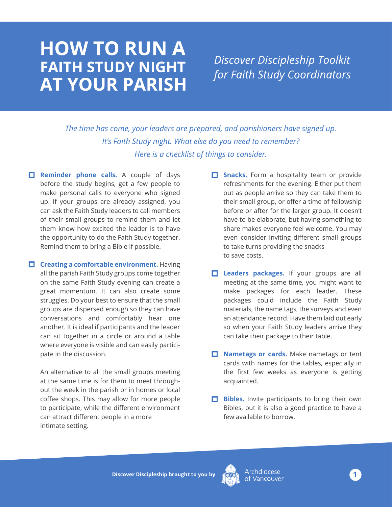## **HOW TO RUN A FAITH STUDY NIGHT AT YOUR PARISH**

**Discover Discipleship Toolkit** for Faith Study Coordinators

*The time has come, your leaders are prepared, and parishioners have signed up. It's Faith Study night. What else do you need to remember? Here is a checklist of things to consider.*

- **Reminder phone calls.** A couple of days before the study begins, get a few people to make personal calls to everyone who signed up. If your groups are already assigned, you can ask the Faith Study leaders to call members of their small groups to remind them and let them know how excited the leader is to have the opportunity to do the Faith Study together. Remind them to bring a Bible if possible.
- **Creating a comfortable environment.** Having all the parish Faith Study groups come together on the same Faith Study evening can create a great momentum. It can also create some struggles. Do your best to ensure that the small groups are dispersed enough so they can have conversations and comfortably hear one another. It is ideal if participants and the leader can sit together in a circle or around a table where everyone is visible and can easily participate in the discussion.

An alternative to all the small groups meeting at the same time is for them to meet throughout the week in the parish or in homes or local coffee shops. This may allow for more people to participate, while the different environment can attract different people in a more intimate setting.

- **Snacks.** Form a hospitality team or provide refreshments for the evening. Either put them out as people arrive so they can take them to their small group, or offer a time of fellowship before or after for the larger group. It doesn't have to be elaborate, but having something to share makes everyone feel welcome. You may even consider inviting different small groups to take turns providing the snacks to save costs.
- **Leaders packages.** If your groups are all meeting at the same time, you might want to make packages for each leader. These packages could include the Faith Study materials, the name tags, the surveys and even an attendance record. Have them laid out early so when your Faith Study leaders arrive they can take their package to their table.
- **Nametags or cards.** Make nametags or tent cards with names for the tables, especially in the first few weeks as everyone is getting acquainted.
- **Bibles.** Invite participants to bring their own Bibles, but it is also a good practice to have a few available to borrow.